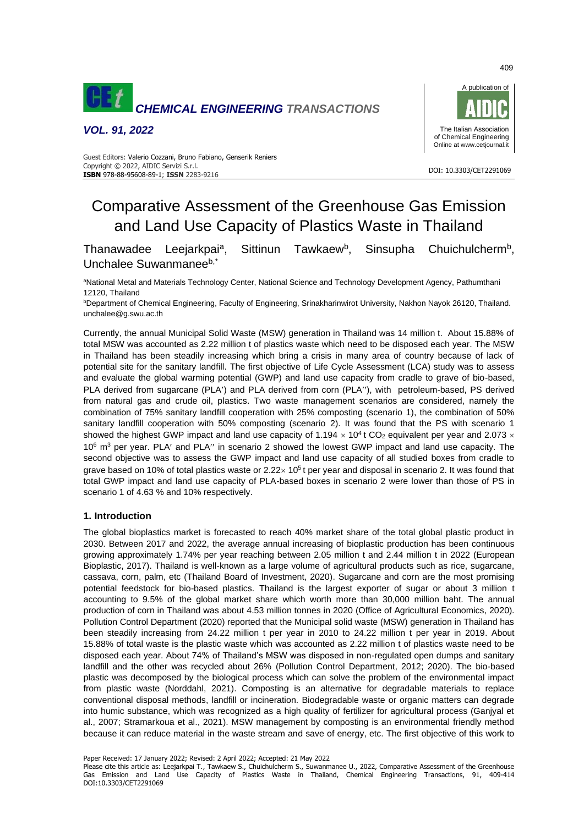

*VOL. 91, 2022*



 DOI: 10.3303/CET2291069 **ISBN** 978-88-95608-89-1; **ISSN** 2283-9216 Guest Editors: Valerio Cozzani, Bruno Fabiano, Genserik Reniers Copyright © 2022, AIDIC Servizi S.r.l.

# Comparative Assessment of the Greenhouse Gas Emission and Land Use Capacity of Plastics Waste in Thailand

Thanawadee Leejarkpai<sup>a</sup>, Sittinun Tawkaew<sup>b</sup>, , Sinsupha Chuichulcherm<sup>b</sup>, Unchalee Suwanmaneeb,\*

aNational Metal and Materials Technology Center, National Science and Technology Development Agency, Pathumthani 12120, Thailand

**bDepartment of Chemical Engineering, Faculty of Engineering, Srinakharinwirot University, Nakhon Nayok 26120, Thailand.** unchalee@g.swu.ac.th

Currently, the annual Municipal Solid Waste (MSW) generation in Thailand was 14 million t. About 15.88% of total MSW was accounted as 2.22 million t of plastics waste which need to be disposed each year. The MSW in Thailand has been steadily increasing which bring a crisis in many area of country because of lack of potential site for the sanitary landfill. The first objective of Life Cycle Assessment (LCA) study was to assess and evaluate the global warming potential (GWP) and land use capacity from cradle to grave of bio-based, PLA derived from sugarcane (PLA') and PLA derived from corn (PLA"), with petroleum-based, PS derived from natural gas and crude oil, plastics. Two waste management scenarios are considered, namely the combination of 75% sanitary landfill cooperation with 25% composting (scenario 1), the combination of 50% sanitary landfill cooperation with 50% composting (scenario 2). It was found that the PS with scenario 1 showed the highest GWP impact and land use capacity of 1.194  $\times$  10<sup>4</sup> t CO<sub>2</sub> equivalent per year and 2.073  $\times$  $10^6$  m<sup>3</sup> per year. PLA' and PLA" in scenario 2 showed the lowest GWP impact and land use capacity. The second objective was to assess the GWP impact and land use capacity of all studied boxes from cradle to grave based on 10% of total plastics waste or  $2.22 \times 10^5$  t per year and disposal in scenario 2. It was found that total GWP impact and land use capacity of PLA-based boxes in scenario 2 were lower than those of PS in scenario 1 of 4.63 % and 10% respectively.

### **1. Introduction**

The global bioplastics market is forecasted to reach 40% market share of the total global plastic product in 2030. Between 2017 and 2022, the average annual increasing of bioplastic production has been continuous growing approximately 1.74% per year reaching between 2.05 million t and 2.44 million t in 2022 (European Bioplastic, 2017). Thailand is well-known as a large volume of agricultural products such as rice, sugarcane, cassava, corn, palm, etc (Thailand Board of Investment, 2020). Sugarcane and corn are the most promising potential feedstock for bio-based plastics. Thailand is the largest exporter of sugar or about 3 million t accounting to 9.5% of the global market share which worth more than 30,000 million baht. The annual production of corn in Thailand was about 4.53 million tonnes in 2020 (Office of Agricultural Economics, 2020). Pollution Control Department (2020) reported that the Municipal solid waste (MSW) generation in Thailand has been steadily increasing from 24.22 million t per year in 2010 to 24.22 million t per year in 2019. About 15.88% of total waste is the plastic waste which was accounted as 2.22 million t of plastics waste need to be disposed each year. About 74% of Thailand's MSW was disposed in non-regulated open dumps and sanitary landfill and the other was recycled about 26% (Pollution Control Department, 2012; 2020). The bio-based plastic was decomposed by the biological process which can solve the problem of the environmental impact from plastic waste (Norddahl, 2021). Composting is an alternative for degradable materials to replace conventional disposal methods, landfill or incineration. Biodegradable waste or organic matters can degrade into humic substance, which was recognized as a high quality of fertilizer for agricultural process (Ganjyal et al., 2007; Stramarkoua et al., 2021). MSW management by composting is an environmental friendly method because it can reduce material in the waste stream and save of energy, etc. The first objective of this work to

Paper Received: 17 January 2022; Revised: 2 April 2022; Accepted: 21 May 2022

Please cite this article as: Leejarkpai T., Tawkaew S., Chuichulcherm S., Suwanmanee U., 2022, Comparative Assessment of the Greenhouse Gas Emission and Land Use Capacity of Plastics Waste in Thailand, Chemical Engineering Transactions, 91, 409-414 DOI:10.3303/CET2291069

409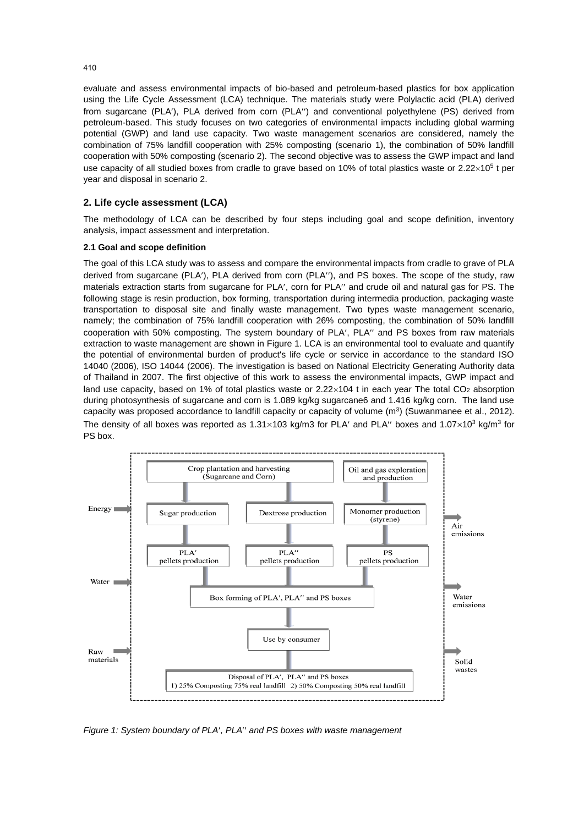evaluate and assess environmental impacts of bio-based and petroleum-based plastics for box application using the Life Cycle Assessment (LCA) technique. The materials study were Polylactic acid (PLA) derived from sugarcane (PLA'), PLA derived from corn (PLA") and conventional polyethylene (PS) derived from petroleum-based. This study focuses on two categories of environmental impacts including global warming potential (GWP) and land use capacity. Two waste management scenarios are considered, namely the combination of 75% landfill cooperation with 25% composting (scenario 1), the combination of 50% landfill cooperation with 50% composting (scenario 2). The second objective was to assess the GWP impact and land use capacity of all studied boxes from cradle to grave based on 10% of total plastics waste or  $2.22\times10^5$  t per year and disposal in scenario 2.

# **2. Life cycle assessment (LCA)**

The methodology of LCA can be described by four steps including goal and scope definition, inventory analysis, impact assessment and interpretation.

#### **2.1 Goal and scope definition**

The goal of this LCA study was to assess and compare the environmental impacts from cradle to grave of PLA derived from sugarcane (PLA'), PLA derived from corn (PLA''), and PS boxes. The scope of the study, raw materials extraction starts from sugarcane for PLA', corn for PLA" and crude oil and natural gas for PS. The following stage is resin production, box forming, transportation during intermedia production, packaging waste transportation to disposal site and finally waste management. Two types waste management scenario, namely; the combination of 75% landfill cooperation with 26% composting, the combination of 50% landfill cooperation with 50% composting. The system boundary of PLA', PLA'' and PS boxes from raw materials extraction to waste management are shown in Figure 1. LCA is an environmental tool to evaluate and quantify the potential of environmental burden of product's life cycle or service in accordance to the standard ISO 14040 (2006), ISO 14044 (2006). The investigation is based on National Electricity Generating Authority data of Thailand in 2007. The first objective of this work to assess the environmental impacts, GWP impact and land use capacity, based on 1% of total plastics waste or  $2.22 \times 104$  t in each year The total CO<sub>2</sub> absorption during photosynthesis of sugarcane and corn is 1.089 kg/kg sugarcane6 and 1.416 kg/kg corn. The land use capacity was proposed accordance to landfill capacity or capacity of volume  $(m^3)$  (Suwanmanee et al., 2012). The density of all boxes was reported as  $1.31\times103$  kg/m3 for PLA' and PLA" boxes and  $1.07\times10^{3}$  kg/m<sup>3</sup> for PS box.



*Figure 1: System boundary of PLA<sup>'</sup>, PLA<sup>''</sup> and PS boxes with waste management* 

410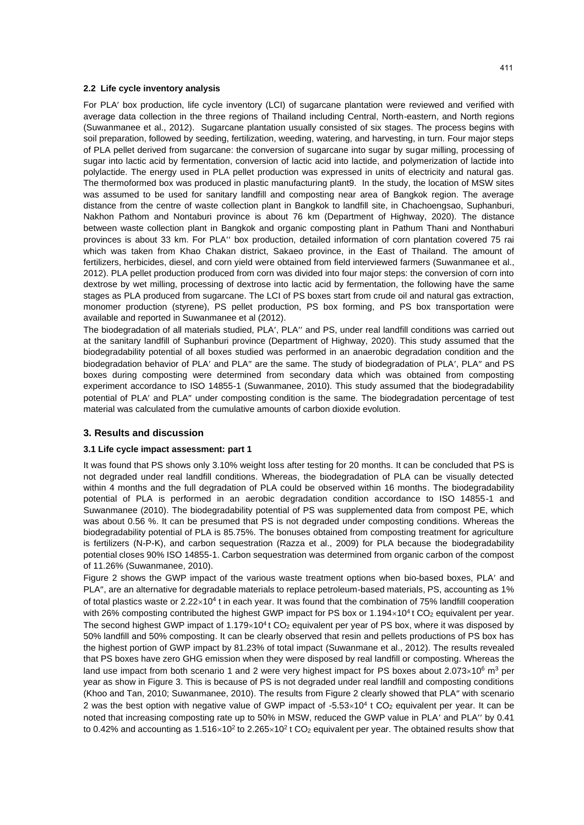#### **2.2 Life cycle inventory analysis**

For PLA' box production, life cycle inventory (LCI) of sugarcane plantation were reviewed and verified with average data collection in the three regions of Thailand including Central, North-eastern, and North regions (Suwanmanee et al., 2012). Sugarcane plantation usually consisted of six stages. The process begins with soil preparation, followed by seeding, fertilization, weeding, watering, and harvesting, in turn. Four major steps of PLA pellet derived from sugarcane: the conversion of sugarcane into sugar by sugar milling, processing of sugar into lactic acid by fermentation, conversion of lactic acid into lactide, and polymerization of lactide into polylactide. The energy used in PLA pellet production was expressed in units of electricity and natural gas. The thermoformed box was produced in plastic manufacturing plant9. In the study, the location of MSW sites was assumed to be used for sanitary landfill and composting near area of Bangkok region. The average distance from the centre of waste collection plant in Bangkok to landfill site, in Chachoengsao, Suphanburi, Nakhon Pathom and Nontaburi province is about 76 km (Department of Highway, 2020). The distance between waste collection plant in Bangkok and organic composting plant in Pathum Thani and Nonthaburi provinces is about 33 km. For PLA" box production, detailed information of corn plantation covered 75 rai which was taken from Khao Chakan district, Sakaeo province, in the East of Thailand. The amount of fertilizers, herbicides, diesel, and corn yield were obtained from field interviewed farmers (Suwanmanee et al., 2012). PLA pellet production produced from corn was divided into four major steps: the conversion of corn into dextrose by wet milling, processing of dextrose into lactic acid by fermentation, the following have the same stages as PLA produced from sugarcane. The LCI of PS boxes start from crude oil and natural gas extraction, monomer production (styrene), PS pellet production, PS box forming, and PS box transportation were available and reported in Suwanmanee et al (2012).

The biodegradation of all materials studied, PLA', PLA" and PS, under real landfill conditions was carried out at the sanitary landfill of Suphanburi province (Department of Highway, 2020). This study assumed that the biodegradability potential of all boxes studied was performed in an anaerobic degradation condition and the biodegradation behavior of PLA' and PLA" are the same. The study of biodegradation of PLA', PLA" and PS boxes during composting were determined from secondary data which was obtained from composting experiment accordance to ISO 14855-1 (Suwanmanee, 2010). This study assumed that the biodegradability potential of PLA' and PLA" under composting condition is the same. The biodegradation percentage of test material was calculated from the cumulative amounts of carbon dioxide evolution.

#### **3. Results and discussion**

#### **3.1 Life cycle impact assessment: part 1**

It was found that PS shows only 3.10% weight loss after testing for 20 months. It can be concluded that PS is not degraded under real landfill conditions. Whereas, the biodegradation of PLA can be visually detected within 4 months and the full degradation of PLA could be observed within 16 months. The biodegradability potential of PLA is performed in an aerobic degradation condition accordance to ISO 14855-1 and Suwanmanee (2010). The biodegradability potential of PS was supplemented data from compost PE, which was about 0.56 %. It can be presumed that PS is not degraded under composting conditions. Whereas the biodegradability potential of PLA is 85.75%. The bonuses obtained from composting treatment for agriculture is fertilizers (N-P-K), and carbon sequestration (Razza et al., 2009) for PLA because the biodegradability potential closes 90% ISO 14855-1. Carbon sequestration was determined from organic carbon of the compost of 11.26% (Suwanmanee, 2010).

Figure 2 shows the GWP impact of the various waste treatment options when bio-based boxes, PLA' and PLA", are an alternative for degradable materials to replace petroleum-based materials, PS, accounting as 1% of total plastics waste or  $2.22 \times 10^4$  t in each year. It was found that the combination of 75% landfill cooperation with 26% composting contributed the highest GWP impact for PS box or  $1.194 \times 10^4$ t CO<sub>2</sub> equivalent per year. The second highest GWP impact of  $1.179 \times 10^4$  t CO<sub>2</sub> equivalent per year of PS box, where it was disposed by 50% landfill and 50% composting. It can be clearly observed that resin and pellets productions of PS box has the highest portion of GWP impact by 81.23% of total impact (Suwanmane et al., 2012). The results revealed that PS boxes have zero GHG emission when they were disposed by real landfill or composting. Whereas the land use impact from both scenario 1 and 2 were very highest impact for PS boxes about  $2.073\times10^6$  m<sup>3</sup> per year as show in Figure 3. This is because of PS is not degraded under real landfill and composting conditions (Khoo and Tan, 2010; Suwanmanee, 2010). The results from Figure 2 clearly showed that PLA" with scenario 2 was the best option with negative value of GWP impact of  $-5.53 \times 10^4$  t CO<sub>2</sub> equivalent per year. It can be noted that increasing composting rate up to 50% in MSW, reduced the GWP value in PLA' and PLA" by 0.41 to 0.42% and accounting as 1.516×10<sup>2</sup> to 2.265×10<sup>2</sup> t CO<sub>2</sub> equivalent per year. The obtained results show that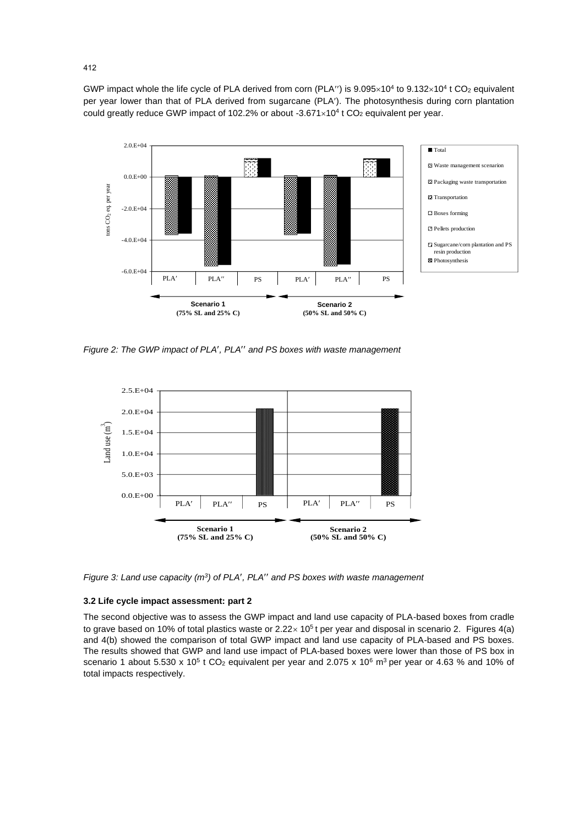GWP impact whole the life cycle of PLA derived from corn (PLA") is  $9.095 \times 10^4$  to  $9.132 \times 10^4$  t CO<sub>2</sub> equivalent per year lower than that of PLA derived from sugarcane (PLA). The photosynthesis during corn plantation could greatly reduce GWP impact of 102.2% or about  $-3.671 \times 10^4$  t CO<sub>2</sub> equivalent per year.



*Figure 2: The GWP impact of PLA, PLA and PS boxes with waste management*



*Figure 3: Land use capacity (m<sup>3</sup>) of PLA', PLA'' and PS boxes with waste management* 

# **3.2 Life cycle impact assessment: part 2**

The second objective was to assess the GWP impact and land use capacity of PLA-based boxes from cradle to grave based on 10% of total plastics waste or  $2.22 \times 10^5$  t per year and disposal in scenario 2. Figures 4(a) and 4(b) showed the comparison of total GWP impact and land use capacity of PLA-based and PS boxes. The results showed that GWP and land use impact of PLA-based boxes were lower than those of PS box in scenario 1 about 5.530 x 10<sup>5</sup> t CO<sub>2</sub> equivalent per year and 2.075 x 10<sup>6</sup> m<sup>3</sup> per year or 4.63 % and 10% of total impacts respectively.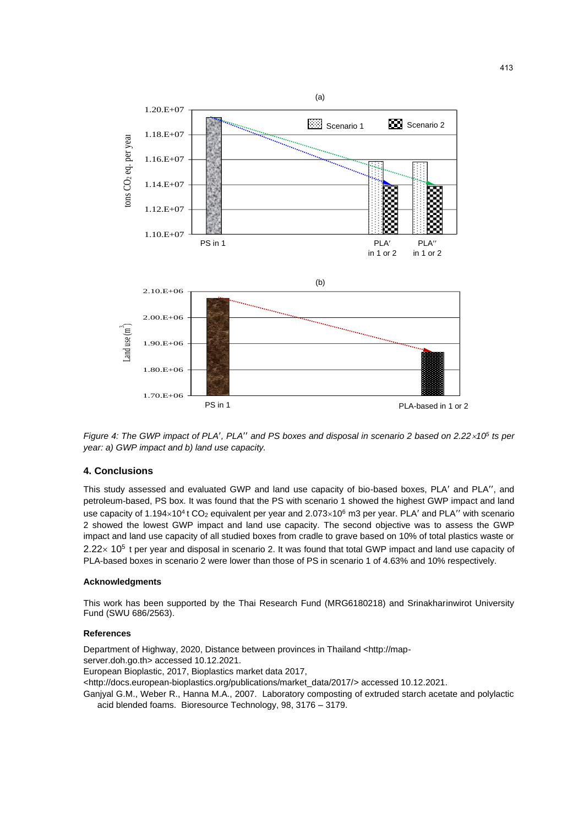

*Figure 4: The GWP impact of PLA', PLA'' and PS boxes and disposal in scenario 2 based on 2.22* $\times$ *10<sup>5</sup> ts per year: a) GWP impact and b) land use capacity.*

# **4. Conclusions**

This study assessed and evaluated GWP and land use capacity of bio-based boxes, PLA' and PLA'', and petroleum-based, PS box. It was found that the PS with scenario 1 showed the highest GWP impact and land use capacity of 1.194×10<sup>4</sup> t CO<sub>2</sub> equivalent per year and 2.073×10<sup>6</sup> m3 per year. PLA' and PLA'' with scenario 2 showed the lowest GWP impact and land use capacity. The second objective was to assess the GWP impact and land use capacity of all studied boxes from cradle to grave based on 10% of total plastics waste or  $2.22 \times 10^5$  t per year and disposal in scenario 2. It was found that total GWP impact and land use capacity of PLA-based boxes in scenario 2 were lower than those of PS in scenario 1 of 4.63% and 10% respectively.

#### **Acknowledgments**

This work has been supported by the Thai Research Fund (MRG6180218) and Srinakharinwirot University Fund (SWU 686/2563).

#### **References**

Department of Highway, 2020, Distance between provinces in Thailand <http://mapserver.doh.go.th> accessed 10.12.2021. European Bioplastic, 2017, Bioplastics market data 2017, <http://docs.european-bioplastics.org/publications/market\_data/2017/> accessed 10.12.2021. Ganjyal G.M., Weber R., Hanna M.A., 2007. Laboratory composting of extruded starch acetate and polylactic